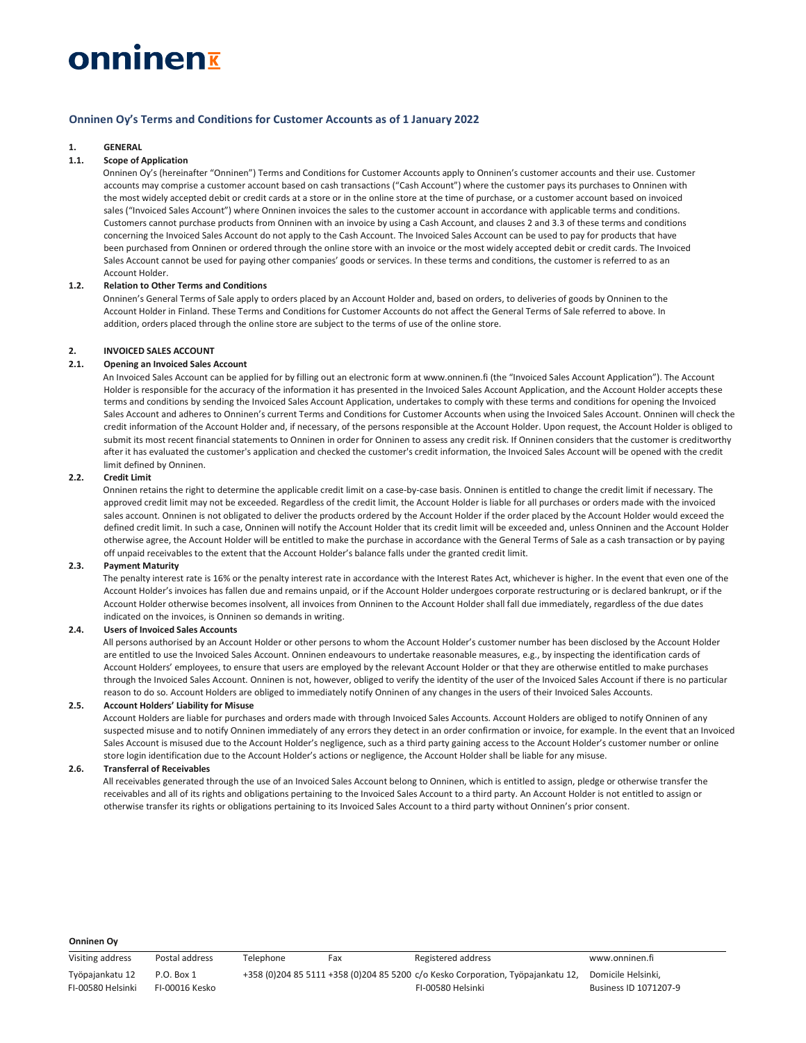# onninen<del>r</del>

## Onninen Oy's Terms and Conditions for Customer Accounts as of 1 January 2022

### 1. GENERAL

#### 1.1. Scope of Application

Onninen Oy's (hereinafter "Onninen") Terms and Conditions for Customer Accounts apply to Onninen's customer accounts and their use. Customer accounts may comprise a customer account based on cash transactions ("Cash Account") where the customer pays its purchases to Onninen with the most widely accepted debit or credit cards at a store or in the online store at the time of purchase, or a customer account based on invoiced sales ("Invoiced Sales Account") where Onninen invoices the sales to the customer account in accordance with applicable terms and conditions. Customers cannot purchase products from Onninen with an invoice by using a Cash Account, and clauses 2 and 3.3 of these terms and conditions concerning the Invoiced Sales Account do not apply to the Cash Account. The Invoiced Sales Account can be used to pay for products that have been purchased from Onninen or ordered through the online store with an invoice or the most widely accepted debit or credit cards. The Invoiced Sales Account cannot be used for paying other companies' goods or services. In these terms and conditions, the customer is referred to as an Account Holder.

## 1.2. Relation to Other Terms and Conditions

Onninen's General Terms of Sale apply to orders placed by an Account Holder and, based on orders, to deliveries of goods by Onninen to the Account Holder in Finland. These Terms and Conditions for Customer Accounts do not affect the General Terms of Sale referred to above. In addition, orders placed through the online store are subject to the terms of use of the online store.

#### 2. INVOICED SALES ACCOUNT

#### 2.1. Opening an Invoiced Sales Account

An Invoiced Sales Account can be applied for by filling out an electronic form at www.onninen.fi (the "Invoiced Sales Account Application"). The Account Holder is responsible for the accuracy of the information it has presented in the Invoiced Sales Account Application, and the Account Holder accepts these terms and conditions by sending the Invoiced Sales Account Application, undertakes to comply with these terms and conditions for opening the Invoiced Sales Account and adheres to Onninen's current Terms and Conditions for Customer Accounts when using the Invoiced Sales Account. Onninen will check the credit information of the Account Holder and, if necessary, of the persons responsible at the Account Holder. Upon request, the Account Holder is obliged to submit its most recent financial statements to Onninen in order for Onninen to assess any credit risk. If Onninen considers that the customer is creditworthy after it has evaluated the customer's application and checked the customer's credit information, the Invoiced Sales Account will be opened with the credit limit defined by Onninen.

## 2.2. Credit Limit

Onninen retains the right to determine the applicable credit limit on a case-by-case basis. Onninen is entitled to change the credit limit if necessary. The approved credit limit may not be exceeded. Regardless of the credit limit, the Account Holder is liable for all purchases or orders made with the invoiced sales account. Onninen is not obligated to deliver the products ordered by the Account Holder if the order placed by the Account Holder would exceed the defined credit limit. In such a case, Onninen will notify the Account Holder that its credit limit will be exceeded and, unless Onninen and the Account Holder otherwise agree, the Account Holder will be entitled to make the purchase in accordance with the General Terms of Sale as a cash transaction or by paying off unpaid receivables to the extent that the Account Holder's balance falls under the granted credit limit.

#### 2.3. Payment Maturity

The penalty interest rate is 16% or the penalty interest rate in accordance with the Interest Rates Act, whichever is higher. In the event that even one of the Account Holder's invoices has fallen due and remains unpaid, or if the Account Holder undergoes corporate restructuring or is declared bankrupt, or if the Account Holder otherwise becomes insolvent, all invoices from Onninen to the Account Holder shall fall due immediately, regardless of the due dates indicated on the invoices, is Onninen so demands in writing.

## 2.4. Users of Invoiced Sales Accounts

All persons authorised by an Account Holder or other persons to whom the Account Holder's customer number has been disclosed by the Account Holder are entitled to use the Invoiced Sales Account. Onninen endeavours to undertake reasonable measures, e.g., by inspecting the identification cards of Account Holders' employees, to ensure that users are employed by the relevant Account Holder or that they are otherwise entitled to make purchases through the Invoiced Sales Account. Onninen is not, however, obliged to verify the identity of the user of the Invoiced Sales Account if there is no particular reason to do so. Account Holders are obliged to immediately notify Onninen of any changes in the users of their Invoiced Sales Accounts.

#### 2.5. Account Holders' Liability for Misuse

Account Holders are liable for purchases and orders made with through Invoiced Sales Accounts. Account Holders are obliged to notify Onninen of any suspected misuse and to notify Onninen immediately of any errors they detect in an order confirmation or invoice, for example. In the event that an Invoiced Sales Account is misused due to the Account Holder's negligence, such as a third party gaining access to the Account Holder's customer number or online store login identification due to the Account Holder's actions or negligence, the Account Holder shall be liable for any misuse.

#### 2.6. Transferral of Receivables

All receivables generated through the use of an Invoiced Sales Account belong to Onninen, which is entitled to assign, pledge or otherwise transfer the receivables and all of its rights and obligations pertaining to the Invoiced Sales Account to a third party. An Account Holder is not entitled to assign or otherwise transfer its rights or obligations pertaining to its Invoiced Sales Account to a third party without Onninen's prior consent.

#### Onninen Oy

Visiting address Postal address Telephone Fax Registered address www.onninen.fi Työpajankatu 12 FI-00580 Helsinki P.O. Box 1 FI-00016 Kesko +358 (0)204 85 5111 +358 (0)204 85 5200 c/o Kesko Corporation, Työpajankatu 12, FI-00580 Helsinki Domicile Helsinki, Business ID 1071207-9